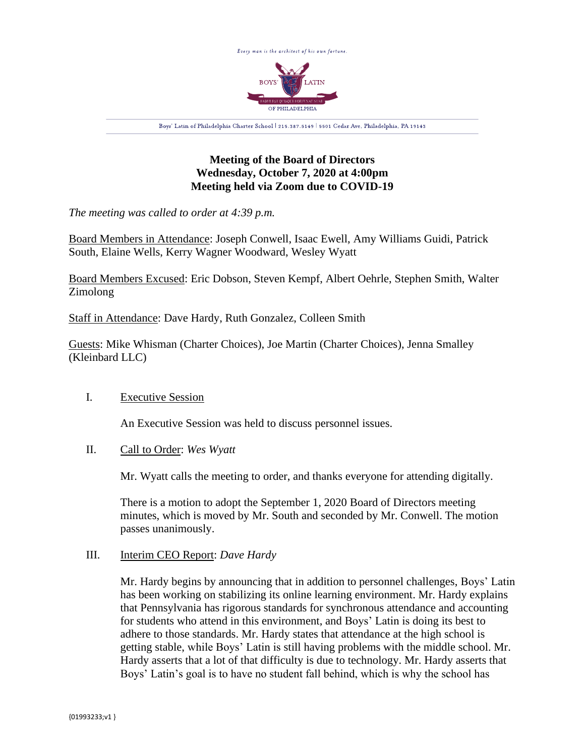

# **Meeting of the Board of Directors Wednesday, October 7, 2020 at 4:00pm Meeting held via Zoom due to COVID-19**

*The meeting was called to order at 4:39 p.m.*

Board Members in Attendance: Joseph Conwell, Isaac Ewell, Amy Williams Guidi, Patrick South, Elaine Wells, Kerry Wagner Woodward, Wesley Wyatt

Board Members Excused: Eric Dobson, Steven Kempf, Albert Oehrle, Stephen Smith, Walter Zimolong

Staff in Attendance: Dave Hardy, Ruth Gonzalez, Colleen Smith

Guests: Mike Whisman (Charter Choices), Joe Martin (Charter Choices), Jenna Smalley (Kleinbard LLC)

# I. Executive Session

An Executive Session was held to discuss personnel issues.

## II. Call to Order: *Wes Wyatt*

Mr. Wyatt calls the meeting to order, and thanks everyone for attending digitally.

There is a motion to adopt the September 1, 2020 Board of Directors meeting minutes, which is moved by Mr. South and seconded by Mr. Conwell. The motion passes unanimously.

## III. Interim CEO Report: *Dave Hardy*

Mr. Hardy begins by announcing that in addition to personnel challenges, Boys' Latin has been working on stabilizing its online learning environment. Mr. Hardy explains that Pennsylvania has rigorous standards for synchronous attendance and accounting for students who attend in this environment, and Boys' Latin is doing its best to adhere to those standards. Mr. Hardy states that attendance at the high school is getting stable, while Boys' Latin is still having problems with the middle school. Mr. Hardy asserts that a lot of that difficulty is due to technology. Mr. Hardy asserts that Boys' Latin's goal is to have no student fall behind, which is why the school has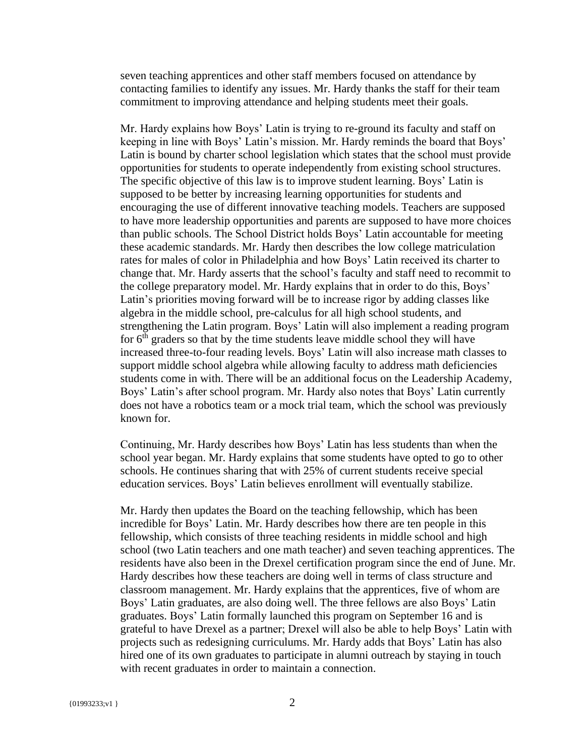seven teaching apprentices and other staff members focused on attendance by contacting families to identify any issues. Mr. Hardy thanks the staff for their team commitment to improving attendance and helping students meet their goals.

Mr. Hardy explains how Boys' Latin is trying to re-ground its faculty and staff on keeping in line with Boys' Latin's mission. Mr. Hardy reminds the board that Boys' Latin is bound by charter school legislation which states that the school must provide opportunities for students to operate independently from existing school structures. The specific objective of this law is to improve student learning. Boys' Latin is supposed to be better by increasing learning opportunities for students and encouraging the use of different innovative teaching models. Teachers are supposed to have more leadership opportunities and parents are supposed to have more choices than public schools. The School District holds Boys' Latin accountable for meeting these academic standards. Mr. Hardy then describes the low college matriculation rates for males of color in Philadelphia and how Boys' Latin received its charter to change that. Mr. Hardy asserts that the school's faculty and staff need to recommit to the college preparatory model. Mr. Hardy explains that in order to do this, Boys' Latin's priorities moving forward will be to increase rigor by adding classes like algebra in the middle school, pre-calculus for all high school students, and strengthening the Latin program. Boys' Latin will also implement a reading program for  $6<sup>th</sup>$  graders so that by the time students leave middle school they will have increased three-to-four reading levels. Boys' Latin will also increase math classes to support middle school algebra while allowing faculty to address math deficiencies students come in with. There will be an additional focus on the Leadership Academy, Boys' Latin's after school program. Mr. Hardy also notes that Boys' Latin currently does not have a robotics team or a mock trial team, which the school was previously known for.

Continuing, Mr. Hardy describes how Boys' Latin has less students than when the school year began. Mr. Hardy explains that some students have opted to go to other schools. He continues sharing that with 25% of current students receive special education services. Boys' Latin believes enrollment will eventually stabilize.

Mr. Hardy then updates the Board on the teaching fellowship, which has been incredible for Boys' Latin. Mr. Hardy describes how there are ten people in this fellowship, which consists of three teaching residents in middle school and high school (two Latin teachers and one math teacher) and seven teaching apprentices. The residents have also been in the Drexel certification program since the end of June. Mr. Hardy describes how these teachers are doing well in terms of class structure and classroom management. Mr. Hardy explains that the apprentices, five of whom are Boys' Latin graduates, are also doing well. The three fellows are also Boys' Latin graduates. Boys' Latin formally launched this program on September 16 and is grateful to have Drexel as a partner; Drexel will also be able to help Boys' Latin with projects such as redesigning curriculums. Mr. Hardy adds that Boys' Latin has also hired one of its own graduates to participate in alumni outreach by staying in touch with recent graduates in order to maintain a connection.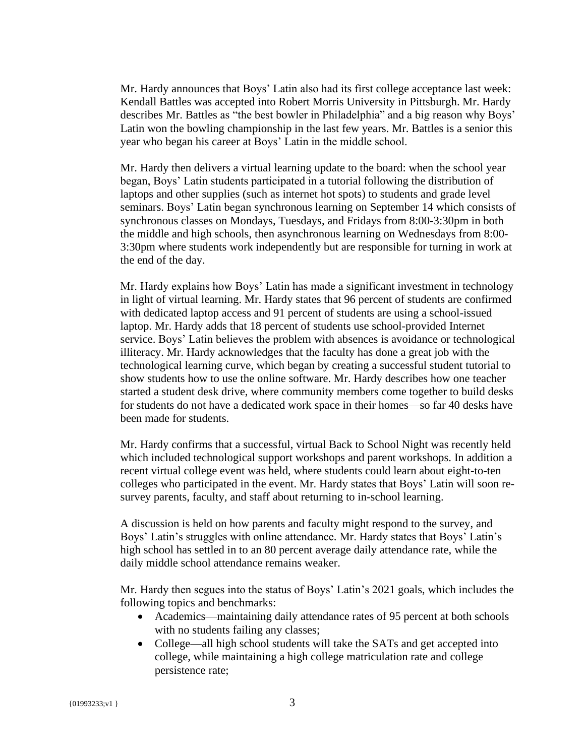Mr. Hardy announces that Boys' Latin also had its first college acceptance last week: Kendall Battles was accepted into Robert Morris University in Pittsburgh. Mr. Hardy describes Mr. Battles as "the best bowler in Philadelphia" and a big reason why Boys' Latin won the bowling championship in the last few years. Mr. Battles is a senior this year who began his career at Boys' Latin in the middle school.

Mr. Hardy then delivers a virtual learning update to the board: when the school year began, Boys' Latin students participated in a tutorial following the distribution of laptops and other supplies (such as internet hot spots) to students and grade level seminars. Boys' Latin began synchronous learning on September 14 which consists of synchronous classes on Mondays, Tuesdays, and Fridays from 8:00-3:30pm in both the middle and high schools, then asynchronous learning on Wednesdays from 8:00- 3:30pm where students work independently but are responsible for turning in work at the end of the day.

Mr. Hardy explains how Boys' Latin has made a significant investment in technology in light of virtual learning. Mr. Hardy states that 96 percent of students are confirmed with dedicated laptop access and 91 percent of students are using a school-issued laptop. Mr. Hardy adds that 18 percent of students use school-provided Internet service. Boys' Latin believes the problem with absences is avoidance or technological illiteracy. Mr. Hardy acknowledges that the faculty has done a great job with the technological learning curve, which began by creating a successful student tutorial to show students how to use the online software. Mr. Hardy describes how one teacher started a student desk drive, where community members come together to build desks for students do not have a dedicated work space in their homes—so far 40 desks have been made for students.

Mr. Hardy confirms that a successful, virtual Back to School Night was recently held which included technological support workshops and parent workshops. In addition a recent virtual college event was held, where students could learn about eight-to-ten colleges who participated in the event. Mr. Hardy states that Boys' Latin will soon resurvey parents, faculty, and staff about returning to in-school learning.

A discussion is held on how parents and faculty might respond to the survey, and Boys' Latin's struggles with online attendance. Mr. Hardy states that Boys' Latin's high school has settled in to an 80 percent average daily attendance rate, while the daily middle school attendance remains weaker.

Mr. Hardy then segues into the status of Boys' Latin's 2021 goals, which includes the following topics and benchmarks:

- Academics—maintaining daily attendance rates of 95 percent at both schools with no students failing any classes;
- College—all high school students will take the SATs and get accepted into college, while maintaining a high college matriculation rate and college persistence rate;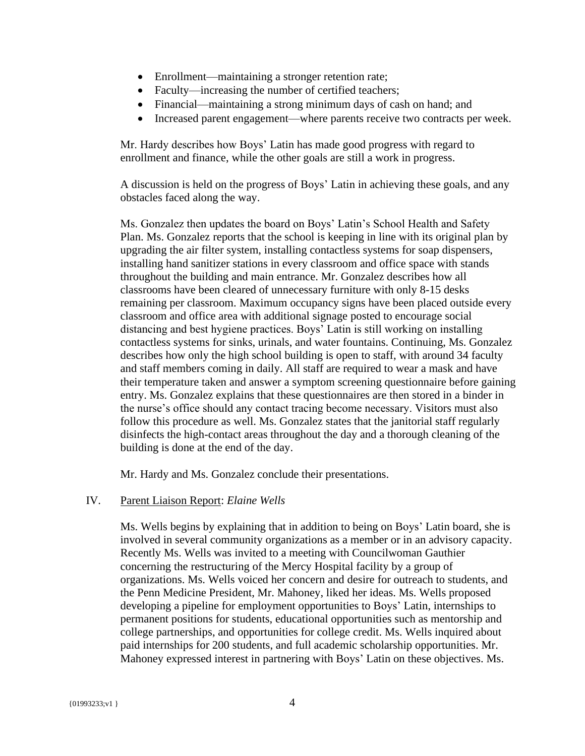- Enrollment—maintaining a stronger retention rate;
- Faculty—increasing the number of certified teachers;
- Financial—maintaining a strong minimum days of cash on hand; and
- Increased parent engagement—where parents receive two contracts per week.

Mr. Hardy describes how Boys' Latin has made good progress with regard to enrollment and finance, while the other goals are still a work in progress.

A discussion is held on the progress of Boys' Latin in achieving these goals, and any obstacles faced along the way.

Ms. Gonzalez then updates the board on Boys' Latin's School Health and Safety Plan. Ms. Gonzalez reports that the school is keeping in line with its original plan by upgrading the air filter system, installing contactless systems for soap dispensers, installing hand sanitizer stations in every classroom and office space with stands throughout the building and main entrance. Mr. Gonzalez describes how all classrooms have been cleared of unnecessary furniture with only 8-15 desks remaining per classroom. Maximum occupancy signs have been placed outside every classroom and office area with additional signage posted to encourage social distancing and best hygiene practices. Boys' Latin is still working on installing contactless systems for sinks, urinals, and water fountains. Continuing, Ms. Gonzalez describes how only the high school building is open to staff, with around 34 faculty and staff members coming in daily. All staff are required to wear a mask and have their temperature taken and answer a symptom screening questionnaire before gaining entry. Ms. Gonzalez explains that these questionnaires are then stored in a binder in the nurse's office should any contact tracing become necessary. Visitors must also follow this procedure as well. Ms. Gonzalez states that the janitorial staff regularly disinfects the high-contact areas throughout the day and a thorough cleaning of the building is done at the end of the day.

Mr. Hardy and Ms. Gonzalez conclude their presentations.

## IV. Parent Liaison Report: *Elaine Wells*

Ms. Wells begins by explaining that in addition to being on Boys' Latin board, she is involved in several community organizations as a member or in an advisory capacity. Recently Ms. Wells was invited to a meeting with Councilwoman Gauthier concerning the restructuring of the Mercy Hospital facility by a group of organizations. Ms. Wells voiced her concern and desire for outreach to students, and the Penn Medicine President, Mr. Mahoney, liked her ideas. Ms. Wells proposed developing a pipeline for employment opportunities to Boys' Latin, internships to permanent positions for students, educational opportunities such as mentorship and college partnerships, and opportunities for college credit. Ms. Wells inquired about paid internships for 200 students, and full academic scholarship opportunities. Mr. Mahoney expressed interest in partnering with Boys' Latin on these objectives. Ms.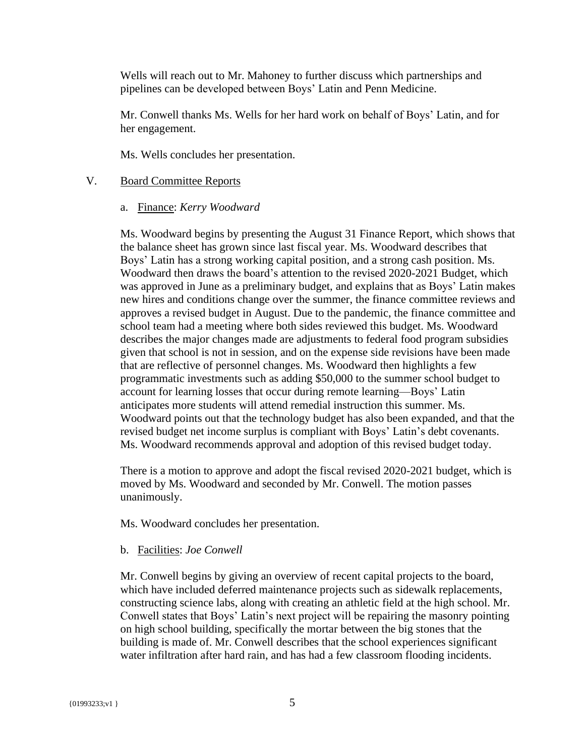Wells will reach out to Mr. Mahoney to further discuss which partnerships and pipelines can be developed between Boys' Latin and Penn Medicine.

Mr. Conwell thanks Ms. Wells for her hard work on behalf of Boys' Latin, and for her engagement.

Ms. Wells concludes her presentation.

#### V. Board Committee Reports

a. Finance: *Kerry Woodward*

Ms. Woodward begins by presenting the August 31 Finance Report, which shows that the balance sheet has grown since last fiscal year. Ms. Woodward describes that Boys' Latin has a strong working capital position, and a strong cash position. Ms. Woodward then draws the board's attention to the revised 2020-2021 Budget, which was approved in June as a preliminary budget, and explains that as Boys' Latin makes new hires and conditions change over the summer, the finance committee reviews and approves a revised budget in August. Due to the pandemic, the finance committee and school team had a meeting where both sides reviewed this budget. Ms. Woodward describes the major changes made are adjustments to federal food program subsidies given that school is not in session, and on the expense side revisions have been made that are reflective of personnel changes. Ms. Woodward then highlights a few programmatic investments such as adding \$50,000 to the summer school budget to account for learning losses that occur during remote learning—Boys' Latin anticipates more students will attend remedial instruction this summer. Ms. Woodward points out that the technology budget has also been expanded, and that the revised budget net income surplus is compliant with Boys' Latin's debt covenants. Ms. Woodward recommends approval and adoption of this revised budget today.

There is a motion to approve and adopt the fiscal revised 2020-2021 budget, which is moved by Ms. Woodward and seconded by Mr. Conwell. The motion passes unanimously.

Ms. Woodward concludes her presentation.

#### b. Facilities: *Joe Conwell*

Mr. Conwell begins by giving an overview of recent capital projects to the board, which have included deferred maintenance projects such as sidewalk replacements, constructing science labs, along with creating an athletic field at the high school. Mr. Conwell states that Boys' Latin's next project will be repairing the masonry pointing on high school building, specifically the mortar between the big stones that the building is made of. Mr. Conwell describes that the school experiences significant water infiltration after hard rain, and has had a few classroom flooding incidents.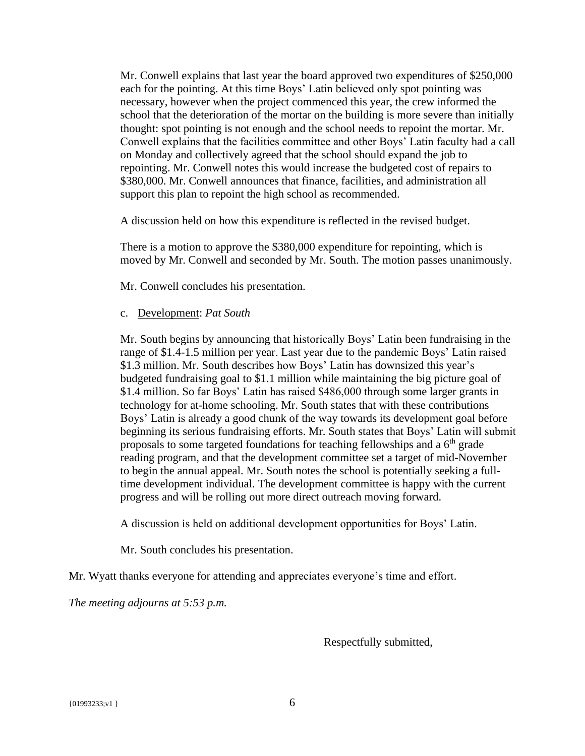Mr. Conwell explains that last year the board approved two expenditures of \$250,000 each for the pointing. At this time Boys' Latin believed only spot pointing was necessary, however when the project commenced this year, the crew informed the school that the deterioration of the mortar on the building is more severe than initially thought: spot pointing is not enough and the school needs to repoint the mortar. Mr. Conwell explains that the facilities committee and other Boys' Latin faculty had a call on Monday and collectively agreed that the school should expand the job to repointing. Mr. Conwell notes this would increase the budgeted cost of repairs to \$380,000. Mr. Conwell announces that finance, facilities, and administration all support this plan to repoint the high school as recommended.

A discussion held on how this expenditure is reflected in the revised budget.

There is a motion to approve the \$380,000 expenditure for repointing, which is moved by Mr. Conwell and seconded by Mr. South. The motion passes unanimously.

Mr. Conwell concludes his presentation.

#### c. Development: *Pat South*

Mr. South begins by announcing that historically Boys' Latin been fundraising in the range of \$1.4-1.5 million per year. Last year due to the pandemic Boys' Latin raised \$1.3 million. Mr. South describes how Boys' Latin has downsized this year's budgeted fundraising goal to \$1.1 million while maintaining the big picture goal of \$1.4 million. So far Boys' Latin has raised \$486,000 through some larger grants in technology for at-home schooling. Mr. South states that with these contributions Boys' Latin is already a good chunk of the way towards its development goal before beginning its serious fundraising efforts. Mr. South states that Boys' Latin will submit proposals to some targeted foundations for teaching fellowships and a  $6<sup>th</sup>$  grade reading program, and that the development committee set a target of mid-November to begin the annual appeal. Mr. South notes the school is potentially seeking a fulltime development individual. The development committee is happy with the current progress and will be rolling out more direct outreach moving forward.

A discussion is held on additional development opportunities for Boys' Latin.

Mr. South concludes his presentation.

Mr. Wyatt thanks everyone for attending and appreciates everyone's time and effort.

*The meeting adjourns at 5:53 p.m.*

Respectfully submitted,